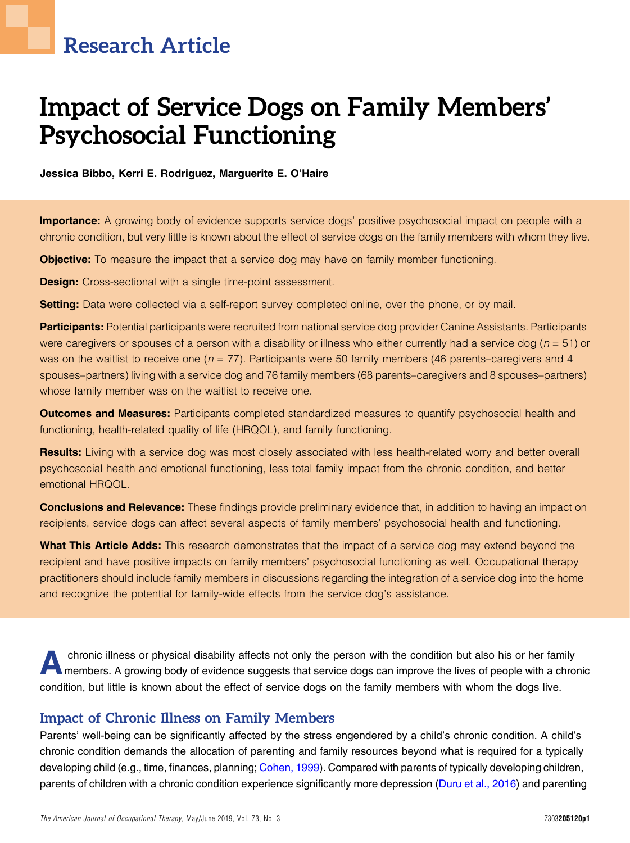# Impact of Service Dogs on Family Members' Psychosocial Functioning

Jessica Bibbo, Kerri E. Rodriguez, Marguerite E. O'Haire

**Importance:** A growing body of evidence supports service dogs' positive psychosocial impact on people with a chronic condition, but very little is known about the effect of service dogs on the family members with whom they live.

**Objective:** To measure the impact that a service dog may have on family member functioning.

**Design:** Cross-sectional with a single time-point assessment.

Setting: Data were collected via a self-report survey completed online, over the phone, or by mail.

Participants: Potential participants were recruited from national service dog provider Canine Assistants. Participants were caregivers or spouses of a person with a disability or illness who either currently had a service dog ( $n = 51$ ) or was on the waitlist to receive one ( $n = 77$ ). Participants were 50 family members (46 parents–caregivers and 4 spouses–partners) living with a service dog and 76 family members (68 parents–caregivers and 8 spouses–partners) whose family member was on the waitlist to receive one.

**Outcomes and Measures:** Participants completed standardized measures to quantify psychosocial health and functioning, health-related quality of life (HRQOL), and family functioning.

Results: Living with a service dog was most closely associated with less health-related worry and better overall psychosocial health and emotional functioning, less total family impact from the chronic condition, and better emotional HRQOL.

**Conclusions and Relevance:** These findings provide preliminary evidence that, in addition to having an impact on recipients, service dogs can affect several aspects of family members' psychosocial health and functioning.

What This Article Adds: This research demonstrates that the impact of a service dog may extend beyond the recipient and have positive impacts on family members' psychosocial functioning as well. Occupational therapy practitioners should include family members in discussions regarding the integration of a service dog into the home and recognize the potential for family-wide effects from the service dog's assistance.

Achronic illness or physical disability affects not only the person with the condition but also his or her family<br>members. A growing body of evidence suggests that service dogs can improve the lives of people with a chroni condition, but little is known about the effect of service dogs on the family members with whom the dogs live.

## Impact of Chronic Illness on Family Members

Parents' well-being can be significantly affected by the stress engendered by a child's chronic condition. A child's chronic condition demands the allocation of parenting and family resources beyond what is required for a typically developing child (e.g., time, finances, planning; [Cohen, 1999\)](#page-8-0). Compared with parents of typically developing children, parents of children with a chronic condition experience significantly more depression [\(Duru et al., 2016](#page-9-0)) and parenting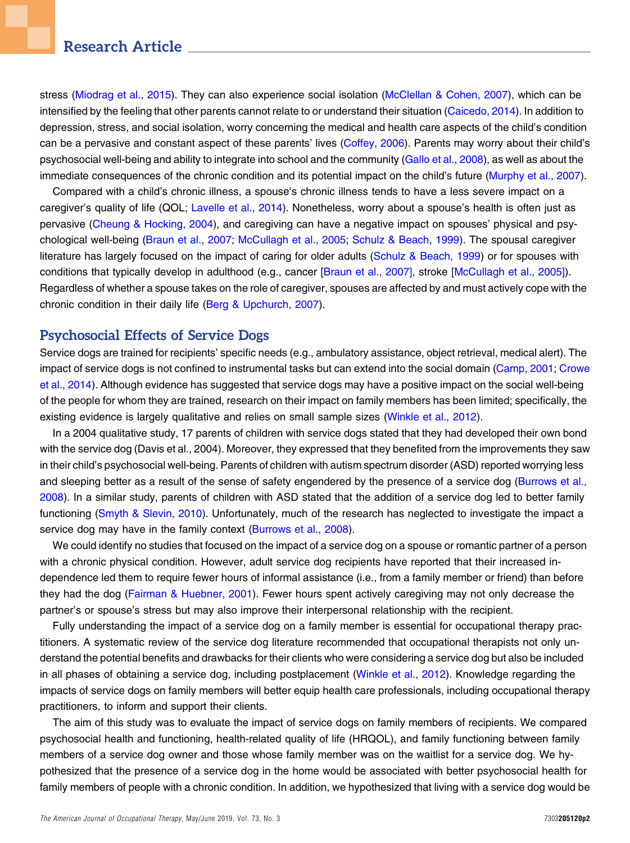stress ([Miodrag et al., 2015\)](#page-9-1). They can also experience social isolation ([McClellan & Cohen, 2007\)](#page-9-2), which can be intensified by the feeling that other parents cannot relate to or understand their situation ([Caicedo, 2014\)](#page-8-1). In addition to depression, stress, and social isolation, worry concerning the medical and health care aspects of the child's condition can be a pervasive and constant aspect of these parents' lives [\(Coffey, 2006\)](#page-8-2). Parents may worry about their child's psychosocial well-being and ability to integrate into school and the community [\(Gallo et al., 2008\)](#page-9-3), as well as about the immediate consequences of the chronic condition and its potential impact on the child's future [\(Murphy et al., 2007](#page-9-4)).

Compared with a child's chronic illness, a spouse's chronic illness tends to have a less severe impact on a caregiver's quality of life (QOL; [Lavelle et al., 2014](#page-9-5)). Nonetheless, worry about a spouse's health is often just as pervasive ([Cheung & Hocking, 2004\)](#page-8-3), and caregiving can have a negative impact on spouses' physical and psychological well-being [\(Braun et al., 2007](#page-8-4); [McCullagh et al., 2005](#page-9-6); [Schulz & Beach, 1999\)](#page-9-7). The spousal caregiver literature has largely focused on the impact of caring for older adults ([Schulz & Beach, 1999](#page-9-7)) or for spouses with conditions that typically develop in adulthood (e.g., cancer [\[Braun et al., 2007\],](#page-8-4) stroke [[McCullagh et al., 2005\]\)](#page-9-6). Regardless of whether a spouse takes on the role of caregiver, spouses are affected by and must actively cope with the chronic condition in their daily life [\(Berg & Upchurch, 2007](#page-8-5)).

## Psychosocial Effects of Service Dogs

Service dogs are trained for recipients' specific needs (e.g., ambulatory assistance, object retrieval, medical alert). The impact of service dogs is not confined to instrumental tasks but can extend into the social domain ([Camp, 2001](#page-8-6); [Crowe](#page-8-7) [et al., 2014](#page-8-7)). Although evidence has suggested that service dogs may have a positive impact on the social well-being of the people for whom they are trained, research on their impact on family members has been limited; specifically, the existing evidence is largely qualitative and relies on small sample sizes ([Winkle et al., 2012\)](#page-9-8).

In a 2004 qualitative study, 17 parents of children with service dogs stated that they had developed their own bond with the service dog (Davis et al., 2004). Moreover, they expressed that they benefited from the improvements they saw in their child's psychosocial well-being. Parents of children with autism spectrum disorder (ASD) reported worrying less and sleeping better as a result of the sense of safety engendered by the presence of a service dog [\(Burrows et al.,](#page-8-8) [2008](#page-8-8)). In a similar study, parents of children with ASD stated that the addition of a service dog led to better family functioning [\(Smyth & Slevin, 2010\)](#page-9-9). Unfortunately, much of the research has neglected to investigate the impact a service dog may have in the family context [\(Burrows et al., 2008\)](#page-8-8).

We could identify no studies that focused on the impact of a service dog on a spouse or romantic partner of a person with a chronic physical condition. However, adult service dog recipients have reported that their increased independence led them to require fewer hours of informal assistance (i.e., from a family member or friend) than before they had the dog ([Fairman & Huebner, 2001](#page-9-10)). Fewer hours spent actively caregiving may not only decrease the partner's or spouse's stress but may also improve their interpersonal relationship with the recipient.

Fully understanding the impact of a service dog on a family member is essential for occupational therapy practitioners. A systematic review of the service dog literature recommended that occupational therapists not only understand the potential benefits and drawbacks for their clients who were considering a service dog but also be included in all phases of obtaining a service dog, including postplacement ([Winkle et al., 2012](#page-9-8)). Knowledge regarding the impacts of service dogs on family members will better equip health care professionals, including occupational therapy practitioners, to inform and support their clients.

The aim of this study was to evaluate the impact of service dogs on family members of recipients. We compared psychosocial health and functioning, health-related quality of life (HRQOL), and family functioning between family members of a service dog owner and those whose family member was on the waitlist for a service dog. We hypothesized that the presence of a service dog in the home would be associated with better psychosocial health for family members of people with a chronic condition. In addition, we hypothesized that living with a service dog would be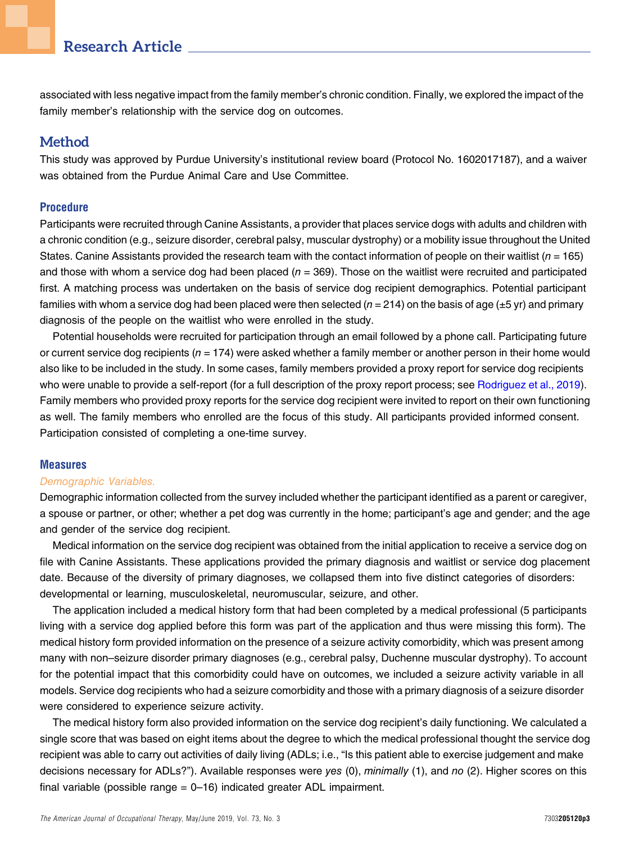associated with less negative impact from the family member's chronic condition. Finally, we explored the impact of the family member's relationship with the service dog on outcomes.

## **Method**

This study was approved by Purdue University's institutional review board (Protocol No. 1602017187), and a waiver was obtained from the Purdue Animal Care and Use Committee.

## Procedure

Participants were recruited through Canine Assistants, a provider that places service dogs with adults and children with a chronic condition (e.g., seizure disorder, cerebral palsy, muscular dystrophy) or a mobility issue throughout the United States. Canine Assistants provided the research team with the contact information of people on their waitlist ( $n = 165$ ) and those with whom a service dog had been placed ( $n = 369$ ). Those on the waitlist were recruited and participated first. A matching process was undertaken on the basis of service dog recipient demographics. Potential participant families with whom a service dog had been placed were then selected ( $n = 214$ ) on the basis of age ( $\pm 5$  yr) and primary diagnosis of the people on the waitlist who were enrolled in the study.

Potential households were recruited for participation through an email followed by a phone call. Participating future or current service dog recipients ( $n = 174$ ) were asked whether a family member or another person in their home would also like to be included in the study. In some cases, family members provided a proxy report for service dog recipients who were unable to provide a self-report (for a full description of the proxy report process; see [Rodriguez et al., 2019](#page-9-11)). Family members who provided proxy reports for the service dog recipient were invited to report on their own functioning as well. The family members who enrolled are the focus of this study. All participants provided informed consent. Participation consisted of completing a one-time survey.

## **Measures**

## Demographic Variables.

Demographic information collected from the survey included whether the participant identified as a parent or caregiver, a spouse or partner, or other; whether a pet dog was currently in the home; participant's age and gender; and the age and gender of the service dog recipient.

Medical information on the service dog recipient was obtained from the initial application to receive a service dog on file with Canine Assistants. These applications provided the primary diagnosis and waitlist or service dog placement date. Because of the diversity of primary diagnoses, we collapsed them into five distinct categories of disorders: developmental or learning, musculoskeletal, neuromuscular, seizure, and other.

The application included a medical history form that had been completed by a medical professional (5 participants living with a service dog applied before this form was part of the application and thus were missing this form). The medical history form provided information on the presence of a seizure activity comorbidity, which was present among many with non–seizure disorder primary diagnoses (e.g., cerebral palsy, Duchenne muscular dystrophy). To account for the potential impact that this comorbidity could have on outcomes, we included a seizure activity variable in all models. Service dog recipients who had a seizure comorbidity and those with a primary diagnosis of a seizure disorder were considered to experience seizure activity.

The medical history form also provided information on the service dog recipient's daily functioning. We calculated a single score that was based on eight items about the degree to which the medical professional thought the service dog recipient was able to carry out activities of daily living (ADLs; i.e., "Is this patient able to exercise judgement and make decisions necessary for ADLs?"). Available responses were yes (0), minimally (1), and no (2). Higher scores on this final variable (possible range  $= 0$ –16) indicated greater ADL impairment.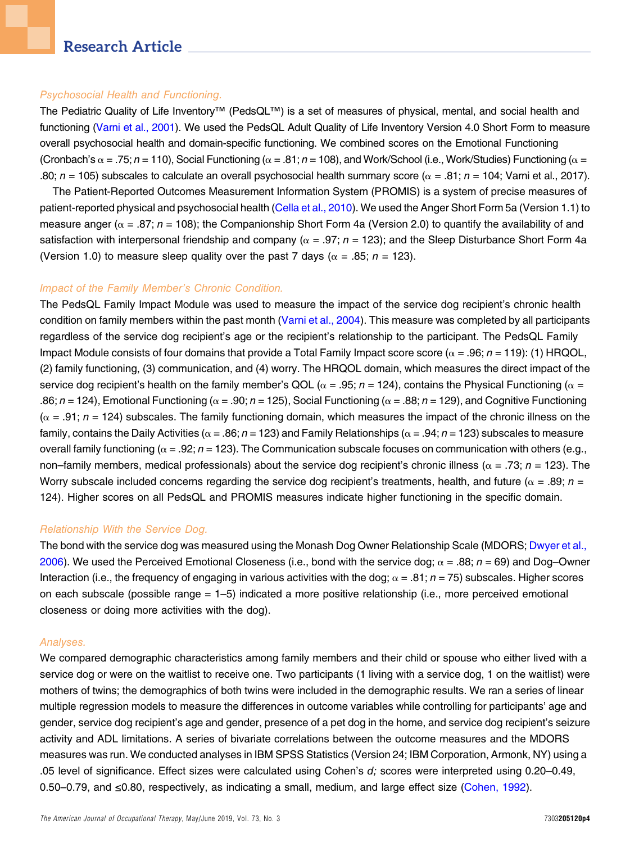#### Psychosocial Health and Functioning.

The Pediatric Quality of Life Inventory™ (PedsQL™) is a set of measures of physical, mental, and social health and functioning [\(Varni et al., 2001\)](#page-9-12). We used the PedsQL Adult Quality of Life Inventory Version 4.0 Short Form to measure overall psychosocial health and domain-specific functioning. We combined scores on the Emotional Functioning (Cronbach's  $\alpha$  = .75; n = 110), Social Functioning ( $\alpha$  = .81; n = 108), and Work/School (i.e., Work/Studies) Functioning ( $\alpha$  = .80;  $n = 105$ ) subscales to calculate an overall psychosocial health summary score ( $\alpha = .81$ ;  $n = 104$ ; Varni et al., 2017).

The Patient-Reported Outcomes Measurement Information System (PROMIS) is a system of precise measures of patient-reported physical and psychosocial health [\(Cella et al., 2010](#page-8-9)). We used the Anger Short Form 5a (Version 1.1) to measure anger ( $\alpha$  = .87; n = 108); the Companionship Short Form 4a (Version 2.0) to quantify the availability of and satisfaction with interpersonal friendship and company ( $\alpha = .97$ ; n = 123); and the Sleep Disturbance Short Form 4a (Version 1.0) to measure sleep quality over the past 7 days ( $\alpha = .85$ ;  $n = 123$ ).

## Impact of the Family Member's Chronic Condition.

The PedsQL Family Impact Module was used to measure the impact of the service dog recipient's chronic health condition on family members within the past month [\(Varni et al., 2004\)](#page-9-13). This measure was completed by all participants regardless of the service dog recipient's age or the recipient's relationship to the participant. The PedsQL Family Impact Module consists of four domains that provide a Total Family Impact score score ( $\alpha = .96$ ;  $n = 119$ ): (1) HRQOL, (2) family functioning, (3) communication, and (4) worry. The HRQOL domain, which measures the direct impact of the service dog recipient's health on the family member's QOL ( $\alpha$  = .95; n = 124), contains the Physical Functioning ( $\alpha$  = .86; n = 124), Emotional Functioning ( $\alpha = .90$ ; n = 125), Social Functioning ( $\alpha = .88$ ; n = 129), and Cognitive Functioning  $(\alpha = .91; n = 124)$  subscales. The family functioning domain, which measures the impact of the chronic illness on the family, contains the Daily Activities ( $\alpha$  = .86; n = 123) and Family Relationships ( $\alpha$  = .94; n = 123) subscales to measure overall family functioning ( $\alpha = 0.92$ ; n = 123). The Communication subscale focuses on communication with others (e.g., non–family members, medical professionals) about the service dog recipient's chronic illness ( $\alpha = .73$ ; n = 123). The Worry subscale included concerns regarding the service dog recipient's treatments, health, and future ( $\alpha = .89$ ;  $n =$ 124). Higher scores on all PedsQL and PROMIS measures indicate higher functioning in the specific domain.

## Relationship With the Service Dog.

The bond with the service dog was measured using the Monash Dog Owner Relationship Scale (MDORS; [Dwyer et al.,](#page-9-14) [2006](#page-9-14)). We used the Perceived Emotional Closeness (i.e., bond with the service dog;  $\alpha = .88$ ;  $n = 69$ ) and Dog–Owner Interaction (i.e., the frequency of engaging in various activities with the dog;  $\alpha = .81$ ;  $n = 75$ ) subscales. Higher scores on each subscale (possible range = 1–5) indicated a more positive relationship (i.e., more perceived emotional closeness or doing more activities with the dog).

#### Analyses.

We compared demographic characteristics among family members and their child or spouse who either lived with a service dog or were on the waitlist to receive one. Two participants (1 living with a service dog, 1 on the waitlist) were mothers of twins; the demographics of both twins were included in the demographic results. We ran a series of linear multiple regression models to measure the differences in outcome variables while controlling for participants' age and gender, service dog recipient's age and gender, presence of a pet dog in the home, and service dog recipient's seizure activity and ADL limitations. A series of bivariate correlations between the outcome measures and the MDORS measures was run. We conducted analyses in IBM SPSS Statistics (Version 24; IBM Corporation, Armonk, NY) using a .05 level of significance. Effect sizes were calculated using Cohen's d; scores were interpreted using 0.20–0.49, 0.50–0.79, and ≤0.80, respectively, as indicating a small, medium, and large effect size [\(Cohen, 1992](#page-8-10)).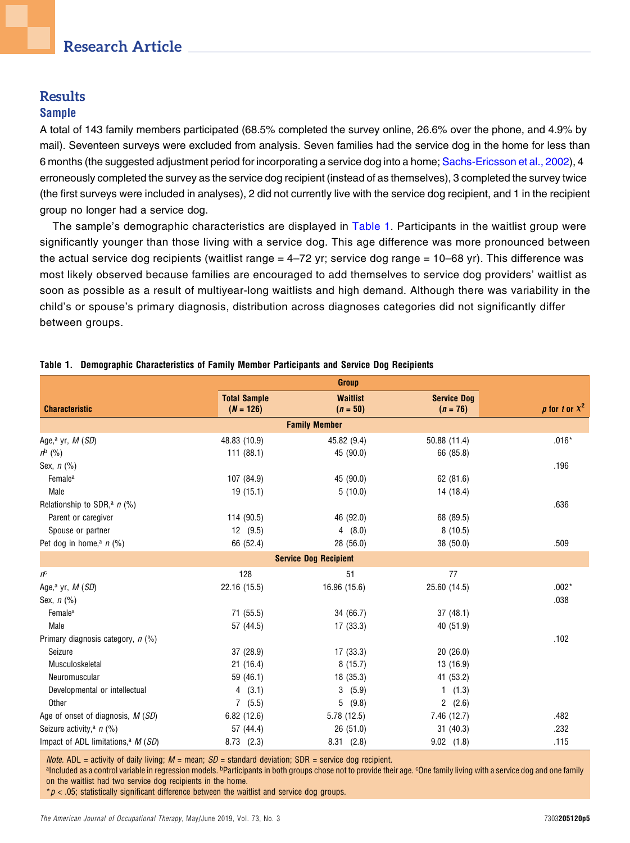# **Results Sample**

A total of 143 family members participated (68.5% completed the survey online, 26.6% over the phone, and 4.9% by mail). Seventeen surveys were excluded from analysis. Seven families had the service dog in the home for less than 6 months (the suggested adjustment period for incorporating a service dog into a home; [Sachs-Ericsson et al., 2002\)](#page-9-15), 4 erroneously completed the survey as the service dog recipient (instead of as themselves), 3 completed the survey twice (the first surveys were included in analyses), 2 did not currently live with the service dog recipient, and 1 in the recipient group no longer had a service dog.

The sample's demographic characteristics are displayed in [Table 1.](#page-4-0) Participants in the waitlist group were significantly younger than those living with a service dog. This age difference was more pronounced between the actual service dog recipients (waitlist range = 4–72 yr; service dog range = 10–68 yr). This difference was most likely observed because families are encouraged to add themselves to service dog providers' waitlist as soon as possible as a result of multiyear-long waitlists and high demand. Although there was variability in the child's or spouse's primary diagnosis, distribution across diagnoses categories did not significantly differ between groups.

|                                                |                     | <b>Group</b>                 |                    |                                |  |  |  |
|------------------------------------------------|---------------------|------------------------------|--------------------|--------------------------------|--|--|--|
|                                                | <b>Total Sample</b> | <b>Waitlist</b>              | <b>Service Dog</b> |                                |  |  |  |
| <b>Characteristic</b>                          | $(N = 126)$         | $(n = 50)$                   | $(n = 76)$         | <i>p</i> for <i>t</i> or $X^2$ |  |  |  |
|                                                |                     | <b>Family Member</b>         |                    |                                |  |  |  |
| Age, <sup>a</sup> yr, $M(SD)$                  | 48.83 (10.9)        | 45.82 (9.4)                  | 50.88 (11.4)       | $.016*$                        |  |  |  |
| $n^{b}$ (%)                                    | 111(88.1)           | 45 (90.0)                    | 66 (85.8)          |                                |  |  |  |
| Sex, $n$ (%)                                   |                     |                              |                    | .196                           |  |  |  |
| Female <sup>a</sup>                            | 107 (84.9)          | 45 (90.0)                    | 62 (81.6)          |                                |  |  |  |
| Male                                           | 19(15.1)            | 5(10.0)                      | 14(18.4)           |                                |  |  |  |
| Relationship to SDR, <sup>a</sup> $n$ (%)      |                     |                              |                    | .636                           |  |  |  |
| Parent or caregiver                            | 114 (90.5)          | 46 (92.0)                    | 68 (89.5)          |                                |  |  |  |
| Spouse or partner                              | 12(9.5)             | 4(8.0)                       | 8(10.5)            |                                |  |  |  |
| Pet dog in home, <sup>a</sup> $n$ (%)          | 66 (52.4)           | 28 (56.0)                    | 38 (50.0)          | .509                           |  |  |  |
|                                                |                     | <b>Service Dog Recipient</b> |                    |                                |  |  |  |
| $n^{\rm c}$                                    | 128                 | 51                           | 77                 |                                |  |  |  |
| Age, <sup>a</sup> yr, $M(SD)$                  | 22.16 (15.5)        | 16.96 (15.6)                 | 25.60 (14.5)       | $.002*$                        |  |  |  |
| Sex, $n$ $(\%)$                                |                     |                              |                    | .038                           |  |  |  |
| Female <sup>a</sup>                            | 71 (55.5)           | 34 (66.7)                    | 37(48.1)           |                                |  |  |  |
| Male                                           | 57 (44.5)           | 17(33.3)                     | 40 (51.9)          |                                |  |  |  |
| Primary diagnosis category, $n$ (%)            |                     |                              |                    | .102                           |  |  |  |
| Seizure                                        | 37 (28.9)           | 17(33.3)                     | 20(26.0)           |                                |  |  |  |
| Musculoskeletal                                | 21(16.4)            | 8(15.7)                      | 13 (16.9)          |                                |  |  |  |
| Neuromuscular                                  | 59 (46.1)           | 18 (35.3)                    | 41 (53.2)          |                                |  |  |  |
| Developmental or intellectual                  | 4(3.1)              | 3(5.9)                       | 1(1.3)             |                                |  |  |  |
| Other                                          | 7(5.5)              | (9.8)<br>5                   | 2(2.6)             |                                |  |  |  |
| Age of onset of diagnosis, M (SD)              | 6.82(12.6)          | 5.78 (12.5)                  | 7.46 (12.7)        | .482                           |  |  |  |
| Seizure activity, <sup>a</sup> n (%)           | 57 (44.4)           | 26 (51.0)                    | 31(40.3)           | .232                           |  |  |  |
| Impact of ADL limitations, <sup>a</sup> M (SD) | 8.73(2.3)           | 8.31(2.8)                    | $9.02$ $(1.8)$     | .115                           |  |  |  |

#### <span id="page-4-0"></span>Table 1. Demographic Characteristics of Family Member Participants and Service Dog Recipients

*Note.* ADL = activity of daily living;  $M$  = mean;  $SD$  = standard deviation; SDR = service dog recipient.

<sup>a</sup>Included as a control variable in regression models. <sup>b</sup>Participants in both groups chose not to provide their age. <sup>c</sup>One family living with a service dog and one family on the waitlist had two service dog recipients in the home.

 $p < 0.05$ ; statistically significant difference between the waitlist and service dog groups.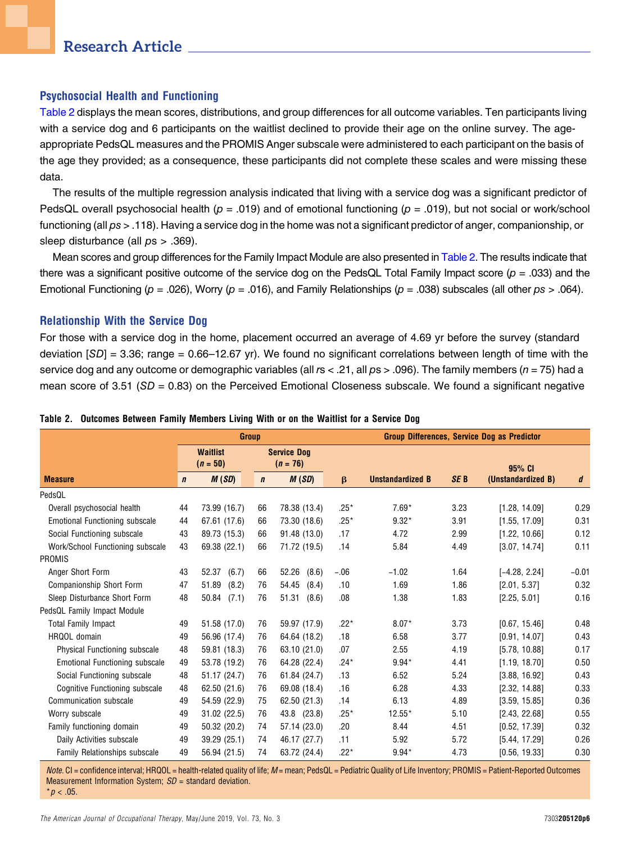## Psychosocial Health and Functioning

[Table 2](#page-5-0) displays the mean scores, distributions, and group differences for all outcome variables. Ten participants living with a service dog and 6 participants on the waitlist declined to provide their age on the online survey. The ageappropriate PedsQL measures and the PROMIS Anger subscale were administered to each participant on the basis of the age they provided; as a consequence, these participants did not complete these scales and were missing these data.

The results of the multiple regression analysis indicated that living with a service dog was a significant predictor of PedsQL overall psychosocial health ( $p = .019$ ) and of emotional functioning ( $p = .019$ ), but not social or work/school functioning (all  $ps > 0.118$ ). Having a service dog in the home was not a significant predictor of anger, companionship, or sleep disturbance (all  $ps > .369$ ).

Mean scores and group differences for the Family Impact Module are also presented in [Table 2](#page-5-0). The results indicate that there was a significant positive outcome of the service dog on the PedsQL Total Family Impact score ( $p = .033$ ) and the Emotional Functioning ( $p = .026$ ), Worry ( $p = .016$ ), and Family Relationships ( $p = .038$ ) subscales (all other  $ps > .064$ ).

## Relationship With the Service Dog

For those with a service dog in the home, placement occurred an average of 4.69 yr before the survey (standard deviation  $[SD] = 3.36$ ; range = 0.66–12.67 yr). We found no significant correlations between length of time with the service dog and any outcome or demographic variables (all  $rs < .21$ , all  $ps > .096$ ). The family members ( $n = 75$ ) had a mean score of 3.51 ( $SD = 0.83$ ) on the Perceived Emotional Closeness subscale. We found a significant negative

|                                  | <b>Group</b> |                               |             |                                  | <b>Group Differences, Service Dog as Predictor</b> |                         |                 |                    |         |
|----------------------------------|--------------|-------------------------------|-------------|----------------------------------|----------------------------------------------------|-------------------------|-----------------|--------------------|---------|
|                                  |              | <b>Waitlist</b><br>$(n = 50)$ |             | <b>Service Dog</b><br>$(n = 76)$ |                                                    |                         |                 | 95% CI             |         |
| <b>Measure</b>                   | $\mathbf n$  | M(SD)                         | $\mathbf n$ | M(SD)                            | $\beta$                                            | <b>Unstandardized B</b> | SE <sub>B</sub> | (Unstandardized B) | d       |
| PedsQL                           |              |                               |             |                                  |                                                    |                         |                 |                    |         |
| Overall psychosocial health      | 44           | 73.99 (16.7)                  | 66          | 78.38 (13.4)                     | $.25*$                                             | $7.69*$                 | 3.23            | [1.28, 14.09]      | 0.29    |
| Emotional Functioning subscale   | 44           | 67.61 (17.6)                  | 66          | 73.30 (18.6)                     | $.25*$                                             | $9.32*$                 | 3.91            | [1.55, 17.09]      | 0.31    |
| Social Functioning subscale      | 43           | 89.73 (15.3)                  | 66          | 91.48 (13.0)                     | .17                                                | 4.72                    | 2.99            | [1.22, 10.66]      | 0.12    |
| Work/School Functioning subscale | 43           | 69.38 (22.1)                  | 66          | 71.72 (19.5)                     | .14                                                | 5.84                    | 4.49            | [3.07, 14.74]      | 0.11    |
| PROMIS                           |              |                               |             |                                  |                                                    |                         |                 |                    |         |
| Anger Short Form                 | 43           | 52.37<br>(6.7)                | 66          | 52.26<br>(8.6)                   | $-.06$                                             | $-1.02$                 | 1.64            | $[-4.28, 2.24]$    | $-0.01$ |
| <b>Companionship Short Form</b>  | 47           | 51.89<br>(8.2)                | 76          | 54.45<br>(8.4)                   | .10                                                | 1.69                    | 1.86            | [2.01, 5.37]       | 0.32    |
| Sleep Disturbance Short Form     | 48           | $50.84$ $(7.1)$               | 76          | 51.31<br>(8.6)                   | .08                                                | 1.38                    | 1.83            | [2.25, 5.01]       | 0.16    |
| PedsQL Family Impact Module      |              |                               |             |                                  |                                                    |                         |                 |                    |         |
| <b>Total Family Impact</b>       | 49           | 51.58 (17.0)                  | 76          | 59.97 (17.9)                     | $.22*$                                             | $8.07*$                 | 3.73            | [0.67, 15.46]      | 0.48    |
| HRQOL domain                     | 49           | 56.96 (17.4)                  | 76          | 64.64 (18.2)                     | .18                                                | 6.58                    | 3.77            | [0.91, 14.07]      | 0.43    |
| Physical Functioning subscale    | 48           | 59.81 (18.3)                  | 76          | 63.10 (21.0)                     | .07                                                | 2.55                    | 4.19            | [5.78, 10.88]      | 0.17    |
| Emotional Functioning subscale   | 49           | 53.78 (19.2)                  | 76          | 64.28 (22.4)                     | $.24*$                                             | $9.94*$                 | 4.41            | [1.19, 18.70]      | 0.50    |
| Social Functioning subscale      | 48           | 51.17 (24.7)                  | 76          | 61.84 (24.7)                     | .13                                                | 6.52                    | 5.24            | [3.88, 16.92]      | 0.43    |
| Cognitive Functioning subscale   | 48           | 62.50 (21.6)                  | 76          | 69.08 (18.4)                     | .16                                                | 6.28                    | 4.33            | [2.32, 14.88]      | 0.33    |
| Communication subscale           | 49           | 54.59 (22.9)                  | 75          | 62.50 (21.3)                     | .14                                                | 6.13                    | 4.89            | [3.59, 15.85]      | 0.36    |
| Worry subscale                   | 49           | 31.02 (22.5)                  | 76          | 43.8 (23.8)                      | $.25*$                                             | $12.55*$                | 5.10            | [2.43, 22.68]      | 0.55    |
| Family functioning domain        | 49           | 50.32 (20.2)                  | 74          | 57.14 (23.0)                     | .20                                                | 8.44                    | 4.51            | [0.52, 17.39]      | 0.32    |
| Daily Activities subscale        | 49           | 39.29 (25.1)                  | 74          | 46.17 (27.7)                     | .11                                                | 5.92                    | 5.72            | [5.44, 17.29]      | 0.26    |
| Family Relationships subscale    | 49           | 56.94 (21.5)                  | 74          | 63.72 (24.4)                     | $.22*$                                             | $9.94*$                 | 4.73            | [0.56, 19.33]      | 0.30    |

#### <span id="page-5-0"></span>Table 2. Outcomes Between Family Members Living With or on the Waitlist for a Service Dog

Note. CI = confidence interval; HRQOL = health-related quality of life;  $M$  = mean; PedsQL = Pediatric Quality of Life Inventory; PROMIS = Patient-Reported Outcomes Measurement Information System;  $SD =$  standard deviation.  $*p < .05$ .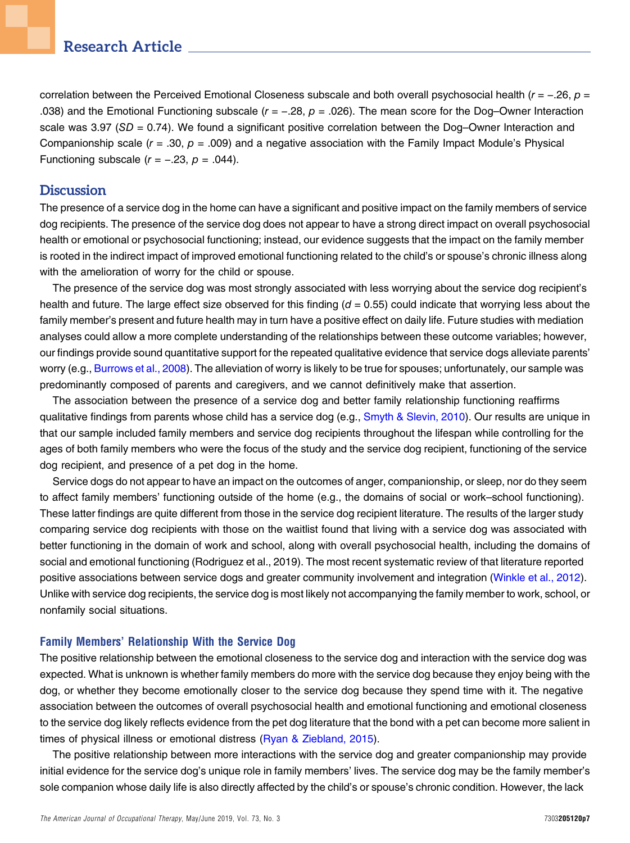correlation between the Perceived Emotional Closeness subscale and both overall psychosocial health (r = −.26, p = .038) and the Emotional Functioning subscale ( $r = -.28$ ,  $p = .026$ ). The mean score for the Dog–Owner Interaction scale was 3.97 (SD = 0.74). We found a significant positive correlation between the Dog–Owner Interaction and Companionship scale ( $r = .30$ ,  $p = .009$ ) and a negative association with the Family Impact Module's Physical Functioning subscale  $(r = -.23, p = .044)$ .

## **Discussion**

The presence of a service dog in the home can have a significant and positive impact on the family members of service dog recipients. The presence of the service dog does not appear to have a strong direct impact on overall psychosocial health or emotional or psychosocial functioning; instead, our evidence suggests that the impact on the family member is rooted in the indirect impact of improved emotional functioning related to the child's or spouse's chronic illness along with the amelioration of worry for the child or spouse.

The presence of the service dog was most strongly associated with less worrying about the service dog recipient's health and future. The large effect size observed for this finding  $(d = 0.55)$  could indicate that worrying less about the family member's present and future health may in turn have a positive effect on daily life. Future studies with mediation analyses could allow a more complete understanding of the relationships between these outcome variables; however, our findings provide sound quantitative support for the repeated qualitative evidence that service dogs alleviate parents' worry (e.g., [Burrows et al., 2008\)](#page-8-8). The alleviation of worry is likely to be true for spouses; unfortunately, our sample was predominantly composed of parents and caregivers, and we cannot definitively make that assertion.

The association between the presence of a service dog and better family relationship functioning reaffirms qualitative findings from parents whose child has a service dog (e.g., [Smyth & Slevin, 2010\)](#page-9-9). Our results are unique in that our sample included family members and service dog recipients throughout the lifespan while controlling for the ages of both family members who were the focus of the study and the service dog recipient, functioning of the service dog recipient, and presence of a pet dog in the home.

Service dogs do not appear to have an impact on the outcomes of anger, companionship, or sleep, nor do they seem to affect family members' functioning outside of the home (e.g., the domains of social or work–school functioning). These latter findings are quite different from those in the service dog recipient literature. The results of the larger study comparing service dog recipients with those on the waitlist found that living with a service dog was associated with better functioning in the domain of work and school, along with overall psychosocial health, including the domains of social and emotional functioning (Rodriguez et al., 2019). The most recent systematic review of that literature reported positive associations between service dogs and greater community involvement and integration [\(Winkle et al., 2012](#page-9-8)). Unlike with service dog recipients, the service dog is most likely not accompanying the family member to work, school, or nonfamily social situations.

## Family Members' Relationship With the Service Dog

The positive relationship between the emotional closeness to the service dog and interaction with the service dog was expected. What is unknown is whether family members do more with the service dog because they enjoy being with the dog, or whether they become emotionally closer to the service dog because they spend time with it. The negative association between the outcomes of overall psychosocial health and emotional functioning and emotional closeness to the service dog likely reflects evidence from the pet dog literature that the bond with a pet can become more salient in times of physical illness or emotional distress ( $R$ yan & Ziebland, 2015).

The positive relationship between more interactions with the service dog and greater companionship may provide initial evidence for the service dog's unique role in family members' lives. The service dog may be the family member's sole companion whose daily life is also directly affected by the child's or spouse's chronic condition. However, the lack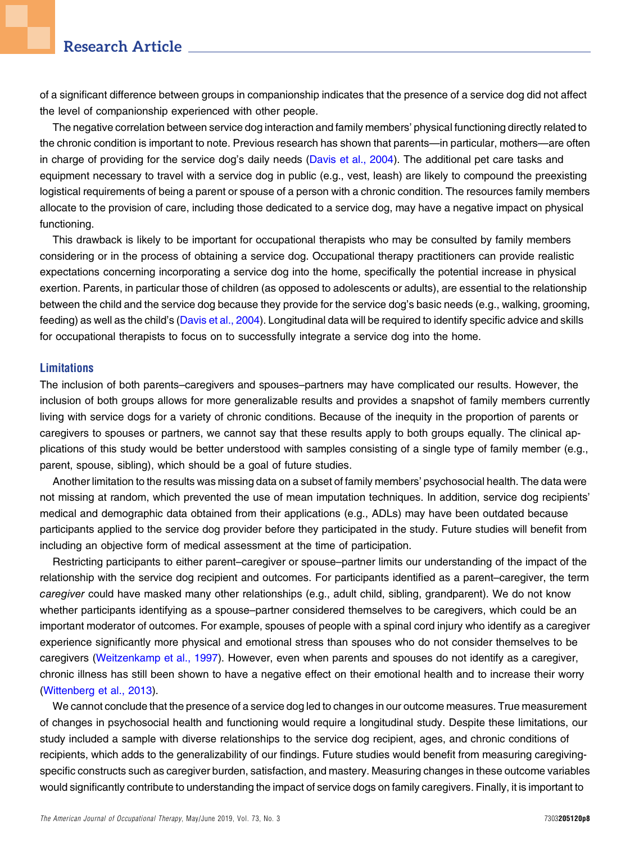of a significant difference between groups in companionship indicates that the presence of a service dog did not affect the level of companionship experienced with other people.

The negative correlation between service dog interaction and family members' physical functioning directly related to the chronic condition is important to note. Previous research has shown that parents—in particular, mothers—are often in charge of providing for the service dog's daily needs [\(Davis et al., 2004\)](#page-8-11). The additional pet care tasks and equipment necessary to travel with a service dog in public (e.g., vest, leash) are likely to compound the preexisting logistical requirements of being a parent or spouse of a person with a chronic condition. The resources family members allocate to the provision of care, including those dedicated to a service dog, may have a negative impact on physical functioning.

This drawback is likely to be important for occupational therapists who may be consulted by family members considering or in the process of obtaining a service dog. Occupational therapy practitioners can provide realistic expectations concerning incorporating a service dog into the home, specifically the potential increase in physical exertion. Parents, in particular those of children (as opposed to adolescents or adults), are essential to the relationship between the child and the service dog because they provide for the service dog's basic needs (e.g., walking, grooming, feeding) as well as the child's [\(Davis et al., 2004](#page-8-11)). Longitudinal data will be required to identify specific advice and skills for occupational therapists to focus on to successfully integrate a service dog into the home.

## Limitations

The inclusion of both parents–caregivers and spouses–partners may have complicated our results. However, the inclusion of both groups allows for more generalizable results and provides a snapshot of family members currently living with service dogs for a variety of chronic conditions. Because of the inequity in the proportion of parents or caregivers to spouses or partners, we cannot say that these results apply to both groups equally. The clinical applications of this study would be better understood with samples consisting of a single type of family member (e.g., parent, spouse, sibling), which should be a goal of future studies.

Another limitation to the results was missing data on a subset of family members' psychosocial health. The data were not missing at random, which prevented the use of mean imputation techniques. In addition, service dog recipients' medical and demographic data obtained from their applications (e.g., ADLs) may have been outdated because participants applied to the service dog provider before they participated in the study. Future studies will benefit from including an objective form of medical assessment at the time of participation.

Restricting participants to either parent–caregiver or spouse–partner limits our understanding of the impact of the relationship with the service dog recipient and outcomes. For participants identified as a parent–caregiver, the term caregiver could have masked many other relationships (e.g., adult child, sibling, grandparent). We do not know whether participants identifying as a spouse–partner considered themselves to be caregivers, which could be an important moderator of outcomes. For example, spouses of people with a spinal cord injury who identify as a caregiver experience significantly more physical and emotional stress than spouses who do not consider themselves to be caregivers [\(Weitzenkamp et al., 1997](#page-9-17)). However, even when parents and spouses do not identify as a caregiver, chronic illness has still been shown to have a negative effect on their emotional health and to increase their worry [\(Wittenberg et al., 2013](#page-9-18)).

We cannot conclude that the presence of a service dog led to changes in our outcome measures. True measurement of changes in psychosocial health and functioning would require a longitudinal study. Despite these limitations, our study included a sample with diverse relationships to the service dog recipient, ages, and chronic conditions of recipients, which adds to the generalizability of our findings. Future studies would benefit from measuring caregivingspecific constructs such as caregiver burden, satisfaction, and mastery. Measuring changes in these outcome variables would significantly contribute to understanding the impact of service dogs on family caregivers. Finally, it is important to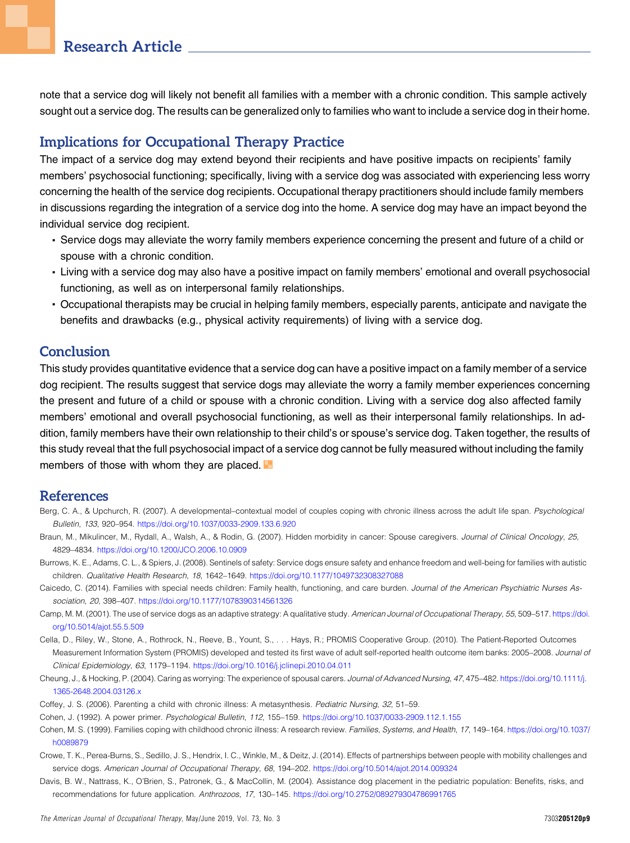note that a service dog will likely not benefit all families with a member with a chronic condition. This sample actively sought out a service dog. The results can be generalized only to families who want to include a service dog in their home.

## Implications for Occupational Therapy Practice

The impact of a service dog may extend beyond their recipients and have positive impacts on recipients' family members' psychosocial functioning; specifically, living with a service dog was associated with experiencing less worry concerning the health of the service dog recipients. Occupational therapy practitioners should include family members in discussions regarding the integration of a service dog into the home. A service dog may have an impact beyond the individual service dog recipient.

- <sup>n</sup> Service dogs may alleviate the worry family members experience concerning the present and future of a child or spouse with a chronic condition.
- <sup>n</sup> Living with a service dog may also have a positive impact on family members' emotional and overall psychosocial functioning, as well as on interpersonal family relationships.
- <sup>n</sup> Occupational therapists may be crucial in helping family members, especially parents, anticipate and navigate the benefits and drawbacks (e.g., physical activity requirements) of living with a service dog.

# Conclusion

This study provides quantitative evidence that a service dog can have a positive impact on a family member of a service dog recipient. The results suggest that service dogs may alleviate the worry a family member experiences concerning the present and future of a child or spouse with a chronic condition. Living with a service dog also affected family members' emotional and overall psychosocial functioning, as well as their interpersonal family relationships. In addition, family members have their own relationship to their child's or spouse's service dog. Taken together, the results of this study reveal that the full psychosocial impact of a service dog cannot be fully measured without including the family members of those with whom they are placed.  $\blacksquare$ 

## References

- <span id="page-8-5"></span>Berg, C. A., & Upchurch, R. (2007). A developmental–contextual model of couples coping with chronic illness across the adult life span. Psychological Bulletin, 133, 920–954. <https://doi.org/10.1037/0033-2909.133.6.920>
- <span id="page-8-4"></span>Braun, M., Mikulincer, M., Rydall, A., Walsh, A., & Rodin, G. (2007). Hidden morbidity in cancer: Spouse caregivers. Journal of Clinical Oncology, 25, 4829–4834. <https://doi.org/10.1200/JCO.2006.10.0909>
- <span id="page-8-8"></span>Burrows, K. E., Adams, C. L., & Spiers, J. (2008). Sentinels of safety: Service dogs ensure safety and enhance freedom and well-being for families with autistic children. Qualitative Health Research, 18, 1642–1649. <https://doi.org/10.1177/1049732308327088>
- <span id="page-8-1"></span>Caicedo, C. (2014). Families with special needs children: Family health, functioning, and care burden. Journal of the American Psychiatric Nurses Association, 20, 398–407. <https://doi.org/10.1177/1078390314561326>
- <span id="page-8-6"></span>Camp, M. M. (2001). The use of service dogs as an adaptive strategy: A qualitative study. American Journal of Occupational Therapy, 55, 509-517. [https://doi.](https://doi.org/10.5014/ajot.55.5.509) [org/10.5014/ajot.55.5.509](https://doi.org/10.5014/ajot.55.5.509)
- <span id="page-8-9"></span>Cella, D., Riley, W., Stone, A., Rothrock, N., Reeve, B., Yount, S., . . . Hays, R.; PROMIS Cooperative Group. (2010). The Patient-Reported Outcomes Measurement Information System (PROMIS) developed and tested its first wave of adult self-reported health outcome item banks: 2005–2008. Journal of Clinical Epidemiology, 63, 1179–1194. <https://doi.org/10.1016/j.jclinepi.2010.04.011>
- <span id="page-8-3"></span>Cheung, J., & Hocking, P. (2004). Caring as worrying: The experience of spousal carers. Journal of Advanced Nursing, 47, 475–482. [https://doi.org/10.1111/j.](https://doi.org/10.1111/j.1365-2648.2004.03126.x) [1365-2648.2004.03126.x](https://doi.org/10.1111/j.1365-2648.2004.03126.x)
- <span id="page-8-10"></span><span id="page-8-2"></span>Coffey, J. S. (2006). Parenting a child with chronic illness: A metasynthesis. Pediatric Nursing, 32, 51–59.
- <span id="page-8-0"></span>Cohen, J. (1992). A power primer. Psychological Bulletin, 112, 155–159. <https://doi.org/10.1037/0033-2909.112.1.155>
- Cohen, M. S. (1999). Families coping with childhood chronic illness: A research review. Families, Systems, and Health, 17, 149–164. [https://doi.org/10.1037/](https://doi.org/10.1037/h0089879) [h0089879](https://doi.org/10.1037/h0089879)
- <span id="page-8-7"></span>Crowe, T. K., Perea-Burns, S., Sedillo, J. S., Hendrix, I. C., Winkle, M., & Deitz, J. (2014). Effects of partnerships between people with mobility challenges and service dogs. American Journal of Occupational Therapy, 68, 194–202. <https://doi.org/10.5014/ajot.2014.009324>
- <span id="page-8-11"></span>Davis, B. W., Nattrass, K., O'Brien, S., Patronek, G., & MacCollin, M. (2004). Assistance dog placement in the pediatric population: Benefits, risks, and recommendations for future application. Anthrozoos, 17, 130–145. <https://doi.org/10.2752/089279304786991765>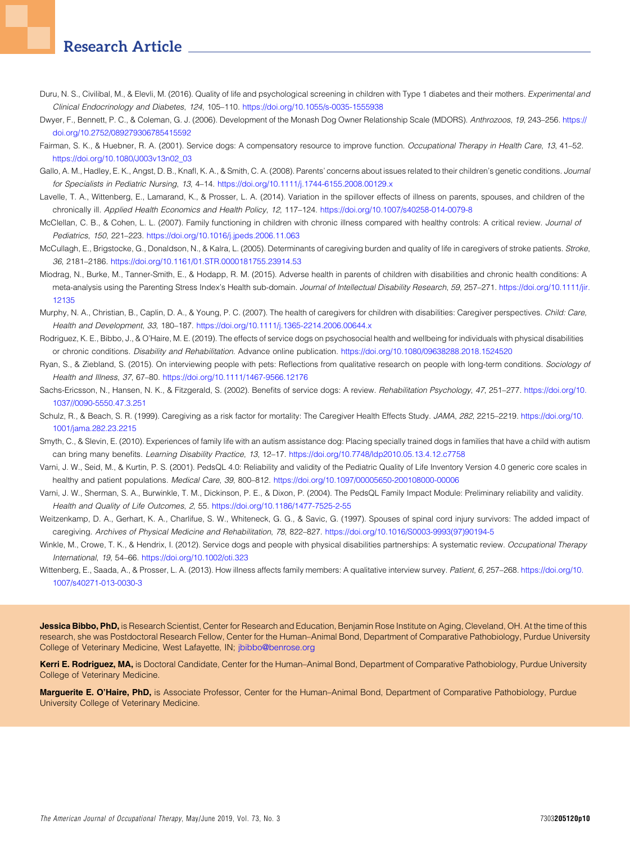- <span id="page-9-0"></span>Duru, N. S., Civilibal, M., & Elevli, M. (2016). Quality of life and psychological screening in children with Type 1 diabetes and their mothers. Experimental and Clinical Endocrinology and Diabetes, 124, 105–110. <https://doi.org/10.1055/s-0035-1555938>
- <span id="page-9-14"></span>Dwyer, F., Bennett, P. C., & Coleman, G. J. (2006). Development of the Monash Dog Owner Relationship Scale (MDORS). Anthrozoos, 19, 243–256. [https://](https://doi.org/10.2752/089279306785415592) [doi.org/10.2752/089279306785415592](https://doi.org/10.2752/089279306785415592)
- <span id="page-9-10"></span>Fairman, S. K., & Huebner, R. A. (2001). Service dogs: A compensatory resource to improve function. Occupational Therapy in Health Care, 13, 41-52. [https://doi.org/10.1080/J003v13n02\\_03](https://doi.org/10.1080/J003v13n02_03)
- <span id="page-9-3"></span>Gallo, A. M., Hadley, E. K., Angst, D. B., Knafl, K. A., & Smith, C. A. (2008). Parents' concerns about issues related to their children's genetic conditions. Journal for Specialists in Pediatric Nursing, 13, 4–14. <https://doi.org/10.1111/j.1744-6155.2008.00129.x>
- <span id="page-9-5"></span>Lavelle, T. A., Wittenberg, E., Lamarand, K., & Prosser, L. A. (2014). Variation in the spillover effects of illness on parents, spouses, and children of the chronically ill. Applied Health Economics and Health Policy, 12, 117–124. <https://doi.org/10.1007/s40258-014-0079-8>
- <span id="page-9-2"></span>McClellan, C. B., & Cohen, L. L. (2007). Family functioning in children with chronic illness compared with healthy controls: A critical review. Journal of Pediatrics, 150, 221–223. <https://doi.org/10.1016/j.jpeds.2006.11.063>
- <span id="page-9-6"></span>McCullagh, E., Brigstocke, G., Donaldson, N., & Kalra, L. (2005). Determinants of caregiving burden and quality of life in caregivers of stroke patients. Stroke, 36, 2181–2186. <https://doi.org/10.1161/01.STR.0000181755.23914.53>
- <span id="page-9-1"></span>Miodrag, N., Burke, M., Tanner-Smith, E., & Hodapp, R. M. (2015). Adverse health in parents of children with disabilities and chronic health conditions: A meta-analysis using the Parenting Stress Index's Health sub-domain. Journal of Intellectual Disability Research, 59, 257-271. [https://doi.org/10.1111/jir.](https://doi.org/10.1111/jir.12135) [12135](https://doi.org/10.1111/jir.12135)
- <span id="page-9-4"></span>Murphy, N. A., Christian, B., Caplin, D. A., & Young, P. C. (2007). The health of caregivers for children with disabilities: Caregiver perspectives. Child: Care, Health and Development, 33, 180–187. <https://doi.org/10.1111/j.1365-2214.2006.00644.x>
- <span id="page-9-11"></span>Rodriguez, K. E., Bibbo, J., & O'Haire, M. E. (2019). The effects of service dogs on psychosocial health and wellbeing for individuals with physical disabilities or chronic conditions. Disability and Rehabilitation. Advance online publication. <https://doi.org/10.1080/09638288.2018.1524520>
- <span id="page-9-16"></span>Ryan, S., & Ziebland, S. (2015). On interviewing people with pets: Reflections from qualitative research on people with long-term conditions. Sociology of Health and Illness, 37, 67–80. <https://doi.org/10.1111/1467-9566.12176>
- <span id="page-9-15"></span>Sachs-Ericsson, N., Hansen, N. K., & Fitzgerald, S. (2002). Benefits of service dogs: A review. Rehabilitation Psychology, 47, 251-277. [https://doi.org/10.](https://doi.org/10.1037//0090-5550.47.3.251) [1037//0090-5550.47.3.251](https://doi.org/10.1037//0090-5550.47.3.251)
- <span id="page-9-7"></span>Schulz, R., & Beach, S. R. (1999). Caregiving as a risk factor for mortality: The Caregiver Health Effects Study. JAMA, 282, 2215-2219. [https://doi.org/10.](https://doi.org/10.1001/jama.282.23.2215) [1001/jama.282.23.2215](https://doi.org/10.1001/jama.282.23.2215)
- <span id="page-9-9"></span>Smyth, C., & Slevin, E. (2010). Experiences of family life with an autism assistance dog: Placing specially trained dogs in families that have a child with autism can bring many benefits. Learning Disability Practice, 13, 12–17. <https://doi.org/10.7748/ldp2010.05.13.4.12.c7758>
- <span id="page-9-12"></span>Varni, J. W., Seid, M., & Kurtin, P. S. (2001). PedsQL 4.0: Reliability and validity of the Pediatric Quality of Life Inventory Version 4.0 generic core scales in healthy and patient populations. Medical Care, 39, 800–812. <https://doi.org/10.1097/00005650-200108000-00006>
- <span id="page-9-13"></span>Varni, J. W., Sherman, S. A., Burwinkle, T. M., Dickinson, P. E., & Dixon, P. (2004). The PedsQL Family Impact Module: Preliminary reliability and validity. Health and Quality of Life Outcomes, 2, 55. <https://doi.org/10.1186/1477-7525-2-55>
- <span id="page-9-17"></span>Weitzenkamp, D. A., Gerhart, K. A., Charlifue, S. W., Whiteneck, G. G., & Savic, G. (1997). Spouses of spinal cord injury survivors: The added impact of caregiving. Archives of Physical Medicine and Rehabilitation, 78, 822–827. [https://doi.org/10.1016/S0003-9993\(97\)90194-5](https://doi.org/10.1016/S0003-9993(97)90194-5)
- <span id="page-9-8"></span>Winkle, M., Crowe, T. K., & Hendrix, I. (2012). Service dogs and people with physical disabilities partnerships: A systematic review. Occupational Therapy International, 19, 54–66. <https://doi.org/10.1002/oti.323>
- <span id="page-9-18"></span>Wittenberg, E., Saada, A., & Prosser, L. A. (2013). How illness affects family members: A qualitative interview survey. Patient, 6, 257-268. [https://doi.org/10.](https://doi.org/10.1007/s40271-013-0030-3) [1007/s40271-013-0030-3](https://doi.org/10.1007/s40271-013-0030-3)

Jessica Bibbo, PhD, is Research Scientist, Center for Research and Education, Benjamin Rose Institute on Aging, Cleveland, OH. At the time of this research, she was Postdoctoral Research Fellow, Center for the Human–Animal Bond, Department of Comparative Pathobiology, Purdue University College of Veterinary Medicine, West Lafayette, IN; [jbibbo@benrose.org](mailto:jbibbo@benrose.org)

Kerri E. Rodriguez, MA, is Doctoral Candidate, Center for the Human-Animal Bond, Department of Comparative Pathobiology, Purdue University College of Veterinary Medicine.

Marguerite E. O'Haire, PhD, is Associate Professor, Center for the Human–Animal Bond, Department of Comparative Pathobiology, Purdue University College of Veterinary Medicine.